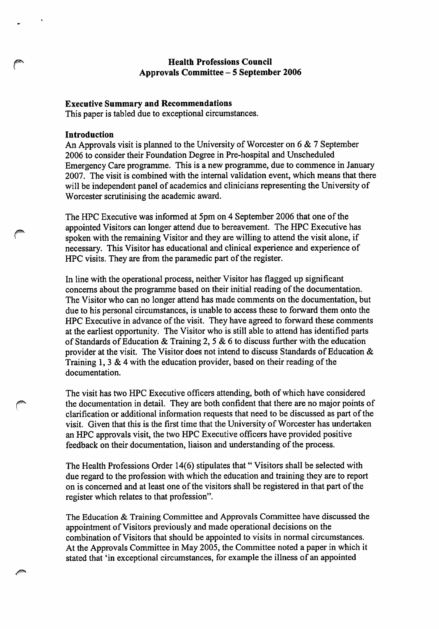## Health Professions Council Approvals Committee - 5 September 2006

### Executive Summary and Recommendations

This paper is tabled due to exceptional circumstances.

#### Introduction

An Approvals visit is planned to the University of Worcester on 6 & 7 September 2006 to consider their Foundation Degree in Pre-hospital and Unscheduled Emergency Care programme. This is a new programme, due to commence in January 2007. The visit is combined with the internal validation event, which means that there will be independent panel of academics and clinicians representing the University of Worcester scrutinising the academic award.

The HPC Executive was informed at 5pm on 4 September 2006 that one of the appointed Visitors can longer attend due to bereavement. The HPC Executive has spoken with the remaining Visitor and they are willing to attend the visit alone, if necessary. This Visitor has educational and clinical experience and experience of HPC visits. They are from the paramedic part of the register.

In line with the operational process, neither Visitor has flagged up significant concerns about the programme based on their initial reading of the documentation. The Visitor who can no longer attend has made comments on the documentation, but due to his personal circumstances, is unable to access these to forward them onto the HPC Executive in advance of the visit. They have agreed to forward these comments at the earliest opportunity. The Visitor who is still able to attend has identified parts of Standards of Education & Training 2, 5 & 6 to discuss further with the education provider at the visit. The Visitor does not intend to discuss Standards of Education & Training 1, 3 & 4 with the education provider, based on their reading of the documentation.

The visit has two HPC Executive officers attending, both of which have considered the documentation in detail. They are both confident that there are no major points of clarification or additional information requests that need to be discussed as part of the visit. Given that this is the first time that the University of Worcester has undertaken an HPC approvals visit, the two HPC Executive officers have provided positive feedback on their documentation, liaison and understanding of the process.

The Health Professions Order 14(6) stipulates that "Visitors shall be selected with due regard to the profession with which the education and training they are to report on is concerned and at least one of the visitors shall be registered in that part of the register which relates to that profession".

The Education & Training Committee and Approvals Committee have discussed the appointment of Visitors previously and made operational decisions on the combination of Visitors that should be appointed to visits in normal circumstances. At the Approvals Committee in May 2005, the Committee noted a paper in which it stated that 'in exceptional circumstances, for example the illness of an appointed